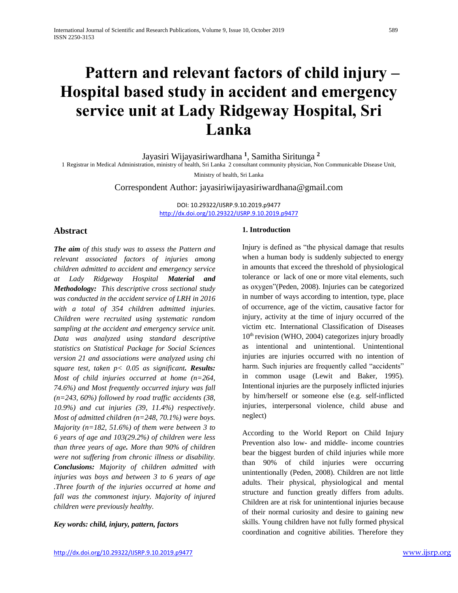# **Pattern and relevant factors of child injury – Hospital based study in accident and emergency service unit at Lady Ridgeway Hospital, Sri Lanka**

Jayasiri Wijayasiriwardhana **<sup>1</sup>** , Samitha Siritunga **<sup>2</sup>**

1 Registrar in Medical Administration, ministry of health, Sri Lanka 2 consultant community physician, Non Communicable Disease Unit,

Ministry of health, Sri Lanka

Correspondent Author: jayasiriwijayasiriwardhana@gmail.com

DOI: 10.29322/IJSRP.9.10.2019.p9477 <http://dx.doi.org/10.29322/IJSRP.9.10.2019.p9477>

# **Abstract**

*The aim of this study was to assess the Pattern and relevant associated factors of injuries among children admitted to accident and emergency service at Lady Ridgeway Hospital Material and Methodology: This descriptive cross sectional study was conducted in the accident service of LRH in 2016 with a total of 354 children admitted injuries. Children were recruited using systematic random sampling at the accident and emergency service unit. Data was analyzed using standard descriptive statistics on Statistical Package for Social Sciences version 21 and associations were analyzed using chi square test, taken p< 0.05 as significant. Results: Most of child injuries occurred at home (n=264, 74.6%) and Most frequently occurred injury was fall (n=243, 60%) followed by road traffic accidents (38, 10.9%) and cut injuries (39, 11.4%) respectively. Most of admitted children (n=248, 70.1%) were boys. Majority (n=182, 51.6%) of them were between 3 to 6 years of age and 103(29.2%) of children were less than three years of age. More than 90% of children were not suffering from chronic illness or disability. Conclusions: Majority of children admitted with injuries was boys and between 3 to 6 years of age .Three fourth of the injuries occurred at home and fall was the commonest injury. Majority of injured children were previously healthy.*

### *Key words: child, injury, pattern, factors*

## **1. Introduction**

Injury is defined as "the physical damage that results when a human body is suddenly subjected to energy in amounts that exceed the threshold of physiological tolerance or lack of one or more vital elements, such as oxygen"(Peden, 2008). Injuries can be categorized in number of ways according to intention, type, place of occurrence, age of the victim, causative factor for injury, activity at the time of injury occurred of the victim etc. International Classification of Diseases 10th revision (WHO, 2004) categorizes injury broadly as intentional and unintentional. Unintentional injuries are injuries occurred with no intention of harm. Such injuries are frequently called "accidents" in common usage (Lewit and Baker, 1995). Intentional injuries are the purposely inflicted injuries by him/herself or someone else (e.g. self-inflicted injuries, interpersonal violence, child abuse and neglect)

According to the World Report on Child Injury Prevention also low- and middle- income countries bear the biggest burden of child injuries while more than 90% of child injuries were occurring unintentionally (Peden, 2008). Children are not little adults. Their physical, physiological and mental structure and function greatly differs from adults. Children are at risk for unintentional injuries because of their normal curiosity and desire to gaining new skills. Young children have not fully formed physical coordination and cognitive abilities. Therefore they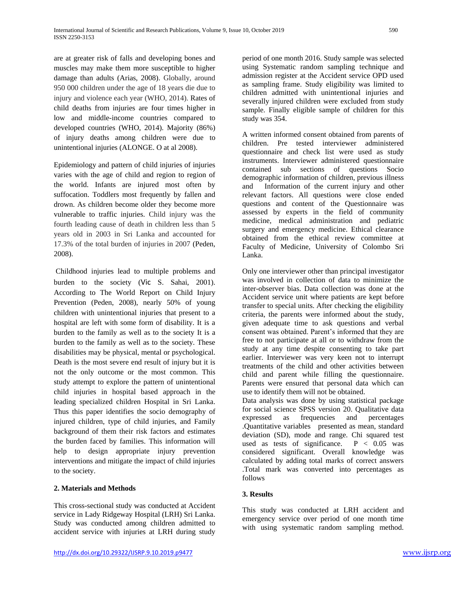are at greater risk of falls and developing bones and muscles may make them more susceptible to higher damage than adults (Arias, 2008). Globally, around 950 000 children under the age of 18 years die due to injury and violence each year (WHO, 2014). Rates of child deaths from injuries are four times higher in low and middle-income countries compared to developed countries (WHO, 2014). Majority (86%) of injury deaths among children were due to unintentional injuries (ALONGE. O at al 2008).

Epidemiology and pattern of child injuries of injuries varies with the age of child and region to region of the world. Infants are injured most often by suffocation. Toddlers most frequently by fallen and drown. As children become older they become more vulnerable to traffic injuries. Child injury was the fourth leading cause of death in children less than 5 years old in 2003 in Sri Lanka and accounted for 17.3% of the total burden of injuries in 2007 (Peden, 2008).

Childhood injuries lead to multiple problems and burden to the society (Vic S. Sahai, 2001). According to The World Report on Child Injury Prevention (Peden, 2008), nearly 50% of young children with unintentional injuries that present to a hospital are left with some form of disability. It is a burden to the family as well as to the society It is a burden to the family as well as to the society. These disabilities may be physical, mental or psychological. Death is the most severe end result of injury but it is not the only outcome or the most common. This study attempt to explore the pattern of unintentional child injuries in hospital based approach in the leading specialized children Hospital in Sri Lanka. Thus this paper identifies the socio demography of injured children, type of child injuries, and Family background of them their risk factors and estimates the burden faced by families. This information will help to design appropriate injury prevention interventions and mitigate the impact of child injuries to the society.

# **2. Materials and Methods**

This cross-sectional study was conducted at Accident service in Lady Ridgeway Hospital (LRH) Sri Lanka. Study was conducted among children admitted to accident service with injuries at LRH during study period of one month 2016. Study sample was selected using Systematic random sampling technique and admission register at the Accident service OPD used as sampling frame. Study eligibility was limited to children admitted with unintentional injuries and severally injured children were excluded from study sample. Finally eligible sample of children for this study was 354.

A written informed consent obtained from parents of children. Pre tested interviewer administered questionnaire and check list were used as study instruments. Interviewer administered questionnaire contained sub sections of questions Socio demographic information of children, previous illness and Information of the current injury and other relevant factors. All questions were close ended questions and content of the Questionnaire was assessed by experts in the field of community medicine, medical administration and pediatric surgery and emergency medicine. Ethical clearance obtained from the ethical review committee at Faculty of Medicine, University of Colombo Sri Lanka.

Only one interviewer other than principal investigator was involved in collection of data to minimize the inter-observer bias. Data collection was done at the Accident service unit where patients are kept before transfer to special units. After checking the eligibility criteria, the parents were informed about the study, given adequate time to ask questions and verbal consent was obtained. Parent's informed that they are free to not participate at all or to withdraw from the study at any time despite consenting to take part earlier. Interviewer was very keen not to interrupt treatments of the child and other activities between child and parent while filling the questionnaire. Parents were ensured that personal data which can use to identify them will not be obtained.

Data analysis was done by using statistical package for social science SPSS version 20. Qualitative data expressed as frequencies and percentages .Quantitative variables presented as mean, standard deviation (SD), mode and range. Chi squared test used as tests of significance.  $P < 0.05$  was considered significant. Overall knowledge was calculated by adding total marks of correct answers .Total mark was converted into percentages as follows

## **3. Results**

This study was conducted at LRH accident and emergency service over period of one month time with using systematic random sampling method.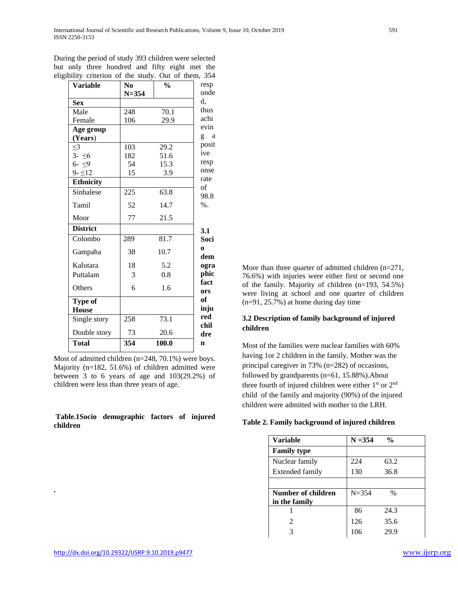| <b>Variable</b>  | N <sub>0</sub> | $\frac{0}{0}$ | resp<br>onde        |
|------------------|----------------|---------------|---------------------|
|                  | $N = 354$      |               | d,                  |
| <b>Sex</b>       |                |               | thus                |
| Male             | 248            | 70.1          | achi                |
| Female           | 106            | 29.9          | evin                |
| Age group        |                |               |                     |
| (Years)          |                |               | g a                 |
| $\leq$ 3         | 103            | 29.2          | posit               |
| $3 - 56$         | 182            | 51.6          | ive                 |
| $6 - 9$          | 54             | 15.3          | resp                |
| $9 - 12$         | 15             | 3.9           | onse                |
| <b>Ethnicity</b> |                |               | rate<br>of          |
| Sinhalese        | 225            | 63.8          | 98.8                |
| Tamil            | 52             | 14.7          | $%$ .               |
| Moor             | 77             | 21.5          |                     |
| <b>District</b>  |                |               | 3.1                 |
| Colombo          | 289            | 81.7          | Soci                |
| Gampaha          | 38             | 10.7          | $\mathbf{o}$<br>dem |
| Kalutara         | 18             | 5.2           | ogra                |
| Puttalam         | 3              | 0.8           | phic<br>fact        |
| Others           | 6              | 1.6           | ors                 |
| Type of          |                |               | of                  |
| <b>House</b>     |                |               | inju                |
| Single story     | 258            | 73.1          | red<br>chil         |
| Double story     | 73             | 20.6          | dre                 |
| <b>Total</b>     | 354            | 100.0         | $\mathbf n$         |

During the period of study 393 children were selected but only three hundred and fifty eight met the eligibility criterion of the study. Out of them, 354

Most of admitted children (n=248, 70.1%) were boys. Majority (n=182, 51.6%) of children admitted were between 3 to 6 years of age and 103(29.2%) of children were less than three years of age.

#### **Table.1Socio demographic factors of injured children**

More than three quarter of admitted children (n=271, 76.6%) with injuries were either first or second one of the family. Majority of children (n=193, 54.5%) were living at school and one quarter of children (n=91, 25.7%) at home during day time

# **3.2 Description of family background of injured children**

Most of the families were nuclear families with 60% having 1or 2 children in the family. Mother was the principal caregiver in 73% (n=282) of occasions, followed by grandparents (n=61, 15.88%).About three fourth of injured children were either  $1<sup>st</sup>$  or  $2<sup>nd</sup>$ child of the family and majority (90%) of the injured children were admitted with mother to the LRH.

|  | Table 2. Family background of injured children |  |  |
|--|------------------------------------------------|--|--|
|  |                                                |  |  |

| <b>Variable</b>    | $N = 354$ | $\frac{0}{0}$ |  |
|--------------------|-----------|---------------|--|
| <b>Family type</b> |           |               |  |
| Nuclear family     | 224       | 63.2          |  |
| Extended family    | 130       | 36.8          |  |
|                    |           |               |  |
| Number of children | $N = 354$ | $\%$          |  |
| in the family      |           |               |  |
|                    | 86        | 24.3          |  |
| 2                  | 126       | 35.6          |  |
| 3                  | 106       | 29.9          |  |

**.**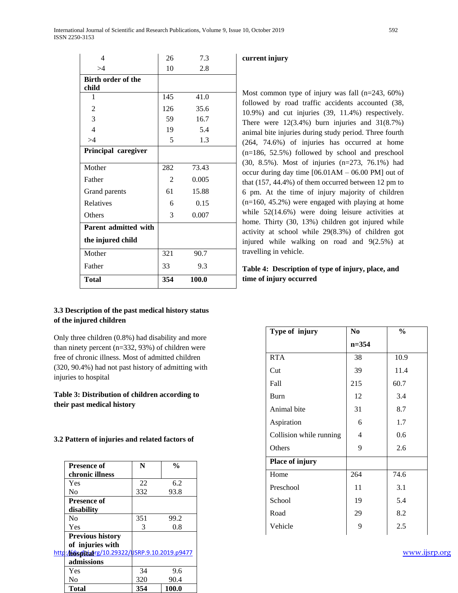| 4                         | 26  | 7.3   |  |  |
|---------------------------|-----|-------|--|--|
| >4                        | 10  | 2.8   |  |  |
| <b>Birth order of the</b> |     |       |  |  |
| child                     |     |       |  |  |
| 1                         | 145 | 41.0  |  |  |
| 2                         | 126 | 35.6  |  |  |
| 3                         | 59  | 16.7  |  |  |
| $\overline{4}$            | 19  | 5.4   |  |  |
| >4                        | 5   | 1.3   |  |  |
| Principal caregiver       |     |       |  |  |
| Mother                    | 282 | 73.43 |  |  |
| Father                    | 2   | 0.005 |  |  |
| Grand parents             | 61  | 15.88 |  |  |
| Relatives                 | 6   | 0.15  |  |  |
| Others                    | 3   | 0.007 |  |  |
| Parent admitted with      |     |       |  |  |
| the injured child         |     |       |  |  |
| Mother                    | 321 | 90.7  |  |  |
| Father                    | 33  | 9.3   |  |  |
| <b>Total</b>              | 354 | 100.0 |  |  |

# **current injury**

Most common type of injury was fall (n=243, 60%) followed by road traffic accidents accounted (38, 10.9%) and cut injuries (39, 11.4%) respectively. There were 12(3.4%) burn injuries and 31(8.7%) animal bite injuries during study period. Three fourth (264, 74.6%) of injuries has occurred at home (n=186, 52.5%) followed by school and preschool (30, 8.5%). Most of injuries (n=273, 76.1%) had occur during day time [06.01AM – 06.00 PM] out of that (157, 44.4%) of them occurred between 12 pm to 6 pm. At the time of injury majority of children (n=160, 45.2%) were engaged with playing at home while 52(14.6%) were doing leisure activities at home. Thirty (30, 13%) children got injured while activity at school while 29(8.3%) of children got injured while walking on road and 9(2.5%) at travelling in vehicle.

# **Table 4: Description of type of injury, place, and time of injury occurred**

| 3.3 Description of the past medical history status |  |
|----------------------------------------------------|--|
| of the injured children                            |  |

Only three children (0.8%) had disability and more than ninety percent (n=332, 93%) of children were free of chronic illness. Most of admitted children (320, 90.4%) had not past history of admitting with injuries to hospital

# **Table 3: Distribution of children according to their past medical history**

### **3.2 Pattern of injuries and related factors of**

| <b>Presence of</b>      | N                                               | $\frac{0}{0}$ |
|-------------------------|-------------------------------------------------|---------------|
| chronic illness         |                                                 |               |
| Yes                     | 22                                              | 6.2           |
| No                      | 332                                             | 93.8          |
| <b>Presence of</b>      |                                                 |               |
| disability              |                                                 |               |
| N <sub>0</sub>          | 351                                             | 99.2          |
| Yes                     | 3                                               | 0.8           |
| <b>Previous history</b> |                                                 |               |
| of injuries with        |                                                 |               |
|                         | http://dxditialrg/10.29322/USRP.9.10.2019.p9477 |               |
| admissions              |                                                 |               |
| Yes                     | 34                                              | 9.6           |
| No                      | 320                                             | 90.4          |
| <b>Total</b>            | 354                                             | 100.0         |

| Type of injury          | N <sub>0</sub> | $\frac{0}{0}$ |
|-------------------------|----------------|---------------|
|                         | $n = 354$      |               |
| <b>RTA</b>              | 38             | 10.9          |
| Cut                     | 39             | 11.4          |
| Fall                    | 215            | 60.7          |
| Burn                    | 12             | 3.4           |
| Animal bite             | 31             | 8.7           |
| Aspiration              | 6              | 1.7           |
| Collision while running | 4              | 0.6           |
| Others                  | 9              | 2.6           |
| Place of injury         |                |               |
| Home                    | 264            | 74.6          |
| Preschool               | 11             | 3.1           |
| School                  | 19             | 5.4           |
| Road                    | 29             | 8.2           |
| Vehicle                 | 9              | 2.5           |
|                         |                |               |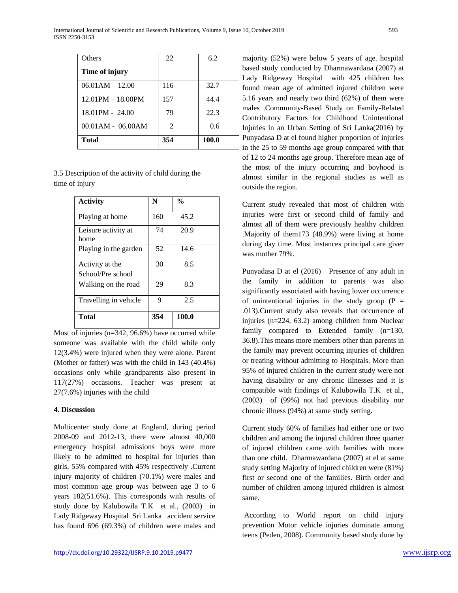| <b>Others</b>           | 22  | 6.2   |
|-------------------------|-----|-------|
| Time of injury          |     |       |
| $06.01AM - 12.00$       | 116 | 32.7  |
| $12.01$ PM $- 18.00$ PM | 157 | 44.4  |
| $18.01$ PM - 24.00      | 79  | 22.3  |
| $00.01AM - 06.00AM$     | 2   | 0.6   |
| <b>Total</b>            | 354 | 100.0 |

3.5 Description of the activity of child during the time of injury

| <b>Activity</b>                      | N   | $\frac{0}{0}$ |
|--------------------------------------|-----|---------------|
| Playing at home                      | 160 | 45.2          |
| Leisure activity at<br>home          | 74  | 20.9          |
| Playing in the garden                | 52  | 14.6          |
| Activity at the<br>School/Pre school | 30  | 8.5           |
| Walking on the road                  | 29  | 8.3           |
| Travelling in vehicle                | 9   | 2.5           |
| <b>Total</b>                         | 354 | 100.0         |

Most of injuries (n=342, 96.6%) have occurred while someone was available with the child while only 12(3.4%) were injured when they were alone. Parent (Mother or father) was with the child in 143 (40.4%) occasions only while grandparents also present in 117(27%) occasions. Teacher was present at 27(7.6%) injuries with the child

## **4. Discussion**

Multicenter study done at England, during period 2008-09 and 2012-13, there were almost 40,000 emergency hospital admissions boys were more likely to be admitted to hospital for injuries than girls, 55% compared with 45% respectively .Current injury majority of children (70.1%) were males and most common age group was between age 3 to 6 years 182(51.6%). This corresponds with results of study done by Kalubowila T.K et al., (2003) in Lady Ridgeway Hospital Sri Lanka accident service has found 696 (69.3%) of children were males and

majority (52%) were below 5 years of age. hospital based study conducted by Dharmawardana (2007) at Lady Ridgeway Hospital with 425 children has found mean age of admitted injured children were 5.16 years and nearly two third (62%) of them were males .Community-Based Study on Family-Related Contributory Factors for Childhood Unintentional Injuries in an Urban Setting of Sri Lanka(2016) by Punyadasa D at el found higher proportion of injuries in the 25 to 59 months age group compared with that of 12 to 24 months age group. Therefore mean age of the most of the injury occurring and boyhood is almost similar in the regional studies as well as outside the region.

Current study revealed that most of children with injuries were first or second child of family and almost all of them were previously healthy children .Majority of them173 (48.9%) were living at home during day time. Most instances principal care giver was mother 79%.

Punyadasa D at el (2016) Presence of any adult in the family in addition to parents was also significantly associated with having lower occurrence of unintentional injuries in the study group  $(P =$ .013).Current study also reveals that occurrence of injuries (n=224, 63.2) among children from Nuclear family compared to Extended family (n=130, 36.8).This means more members other than parents in the family may prevent occurring injuries of children or treating without admitting to Hospitals. More than 95% of injured children in the current study were not having disability or any chronic illnesses and it is compatible with findings of Kalubowila T.K et al., (2003) of (99%) not had previous disability nor chronic illness (94%) at same study setting*.*

Current study 60% of families had either one or two children and among the injured children three quarter of injured children came with families with more than one child. Dharmawardana (2007) at el at same study setting Majority of injured children were (81%) first or second one of the families. Birth order and number of children among injured children is almost same.

According to World report on child injury prevention Motor vehicle injuries dominate among teens (Peden, 2008). Community based study done by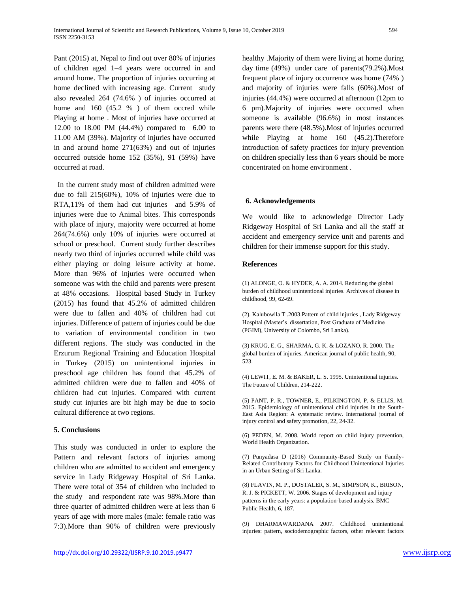Pant (2015) at, Nepal to find out over 80% of injuries of children aged 1–4 years were occurred in and around home. The proportion of injuries occurring at home declined with increasing age. Current study also revealed 264 (74.6% ) of injuries occurred at home and 160 (45.2 %) of them occred while Playing at home . Most of injuries have occurred at 12.00 to 18.00 PM (44.4%) compared to 6.00 to 11.00 AM (39%). Majority of injuries have occurred in and around home 271(63%) and out of injuries occurred outside home 152 (35%), 91 (59%) have occurred at road.

 In the current study most of children admitted were due to fall 215(60%), 10% of injuries were due to RTA,11% of them had cut injuries and 5.9% of injuries were due to Animal bites. This corresponds with place of injury, majority were occurred at home 264(74.6%) only 10% of injuries were occurred at school or preschool. Current study further describes nearly two third of injuries occurred while child was either playing or doing leisure activity at home. More than 96% of injuries were occurred when someone was with the child and parents were present at 48% occasions. Hospital based Study in Turkey (2015) has found that 45.2% of admitted children were due to fallen and 40% of children had cut injuries. Difference of pattern of injuries could be due to variation of environmental condition in two different regions. The study was conducted in the Erzurum Regional Training and Education Hospital in Turkey (2015) on unintentional injuries in preschool age children has found that 45.2% of admitted children were due to fallen and 40% of children had cut injuries. Compared with current study cut injuries are bit high may be due to socio cultural difference at two regions.

## **5. Conclusions**

This study was conducted in order to explore the Pattern and relevant factors of injuries among children who are admitted to accident and emergency service in Lady Ridgeway Hospital of Sri Lanka. There were total of 354 of children who included to the study and respondent rate was 98%.More than three quarter of admitted children were at less than 6 years of age with more males (male: female ratio was 7:3).More than 90% of children were previously healthy .Majority of them were living at home during day time (49%) under care of parents(79.2%).Most frequent place of injury occurrence was home (74% ) and majority of injuries were falls (60%).Most of injuries (44.4%) were occurred at afternoon (12pm to 6 pm).Majority of injuries were occurred when someone is available (96.6%) in most instances parents were there (48.5%).Most of injuries occurred while Playing at home 160 (45.2). Therefore introduction of safety practices for injury prevention on children specially less than 6 years should be more concentrated on home environment .

### **6. Acknowledgements**

We would like to acknowledge Director Lady Ridgeway Hospital of Sri Lanka and all the staff at accident and emergency service unit and parents and children for their immense support for this study.

### **References**

(1) ALONGE, O. & HYDER, A. A. 2014. Reducing the global burden of childhood unintentional injuries. Archives of disease in childhood, 99, 62-69.

(2). Kalubowila T .2003.Pattern of child injuries , Lady Ridgeway Hospital (Master's dissertation, Post Graduate of Medicine (PGIM), University of Colombo, Sri Lanka).

(3) KRUG, E. G., SHARMA, G. K. & LOZANO, R. 2000. The global burden of injuries. American journal of public health, 90, 523.

(4) LEWIT, E. M. & BAKER, L. S. 1995. Unintentional injuries. The Future of Children, 214-222.

(5) PANT, P. R., TOWNER, E., PILKINGTON, P. & ELLIS, M. 2015. Epidemiology of unintentional child injuries in the South-East Asia Region: A systematic review. International journal of injury control and safety promotion, 22, 24-32.

(6) PEDEN, M. 2008. World report on child injury prevention, World Health Organization.

(7) Punyadasa D (2016) Community-Based Study on Family-Related Contributory Factors for Childhood Unintentional Injuries in an Urban Setting of Sri Lanka.

(8) FLAVIN, M. P., DOSTALER, S. M., SIMPSON, K., BRISON, R. J. & PICKETT, W. 2006. Stages of development and injury patterns in the early years: a population-based analysis. BMC Public Health, 6, 187.

(9) DHARMAWARDANA 2007. Childhood unintentional injuries: pattern, sociodemographic factors, other relevant factors